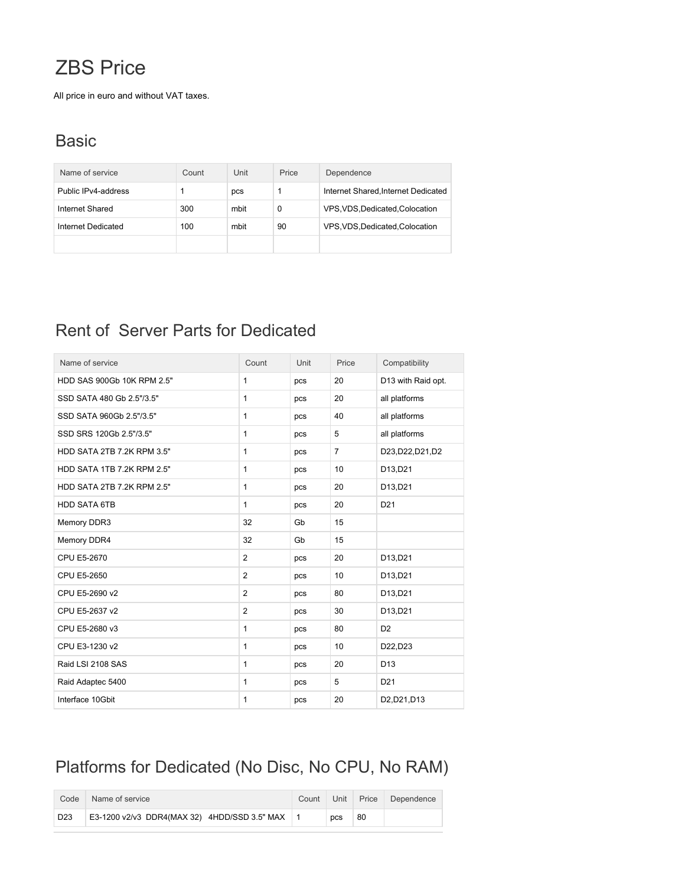# ZBS Price

All price in euro and without VAT taxes.

#### **Basic**

| Name of service     | Count | Unit | Price | Dependence                          |
|---------------------|-------|------|-------|-------------------------------------|
| Public IPv4-address |       | pcs  |       | Internet Shared, Internet Dedicated |
| Internet Shared     | 300   | mbit | 0     | VPS, VDS, Dedicated, Colocation     |
| Internet Dedicated  | 100   | mbit | 90    | VPS, VDS, Dedicated, Colocation     |
|                     |       |      |       |                                     |

### Rent of Server Parts for Dedicated

| Name of service            | Count          | Unit | Price          | Compatibility      |
|----------------------------|----------------|------|----------------|--------------------|
| HDD SAS 900Gb 10K RPM 2.5" | 1              | pcs  | 20             | D13 with Raid opt. |
| SSD SATA 480 Gb 2.5"/3.5"  | 1              | pcs  | 20             | all platforms      |
| SSD SATA 960Gb 2.5"/3.5"   | 1              | pcs  | 40             | all platforms      |
| SSD SRS 120Gb 2.5"/3.5"    | 1              | pcs  | 5              | all platforms      |
| HDD SATA 2TB 7.2K RPM 3.5" | 1              | pcs  | $\overline{7}$ | D23, D22, D21, D2  |
| HDD SATA 1TB 7.2K RPM 2.5" | 1              | pcs  | 10             | D13,D21            |
| HDD SATA 2TB 7.2K RPM 2.5" | 1              | pcs  | 20             | D13,D21            |
| <b>HDD SATA 6TB</b>        | 1              | pcs  | 20             | D <sub>21</sub>    |
| Memory DDR3                | 32             | Gb   | 15             |                    |
| Memory DDR4                | 32             | Gb   | 15             |                    |
| CPU E5-2670                | $\overline{2}$ | pcs  | 20             | D13,D21            |
| CPU E5-2650                | $\overline{2}$ | pcs  | 10             | D13,D21            |
| CPU E5-2690 v2             | $\overline{2}$ | pcs  | 80             | D13,D21            |
| CPU E5-2637 v2             | $\overline{2}$ | pcs  | 30             | D13,D21            |
| CPU E5-2680 v3             | 1              | pcs  | 80             | D <sub>2</sub>     |
| CPU E3-1230 v2             | 1              | pcs  | 10             | D22,D23            |
| Raid LSI 2108 SAS          | 1              | pcs  | 20             | D <sub>13</sub>    |
| Raid Adaptec 5400          | 1              | pcs  | 5              | D <sub>21</sub>    |
| Interface 10Gbit           | 1              | pcs  | 20             | D2,D21,D13         |

## Platforms for Dedicated (No Disc, No CPU, No RAM)

| Code            | Name of service                                | Count | Unit       | Price | Dependence |
|-----------------|------------------------------------------------|-------|------------|-------|------------|
| D <sub>23</sub> | E3-1200 v2/v3 DDR4(MAX 32) 4HDD/SSD 3.5" MAX 1 |       | <b>DCS</b> | 80    |            |